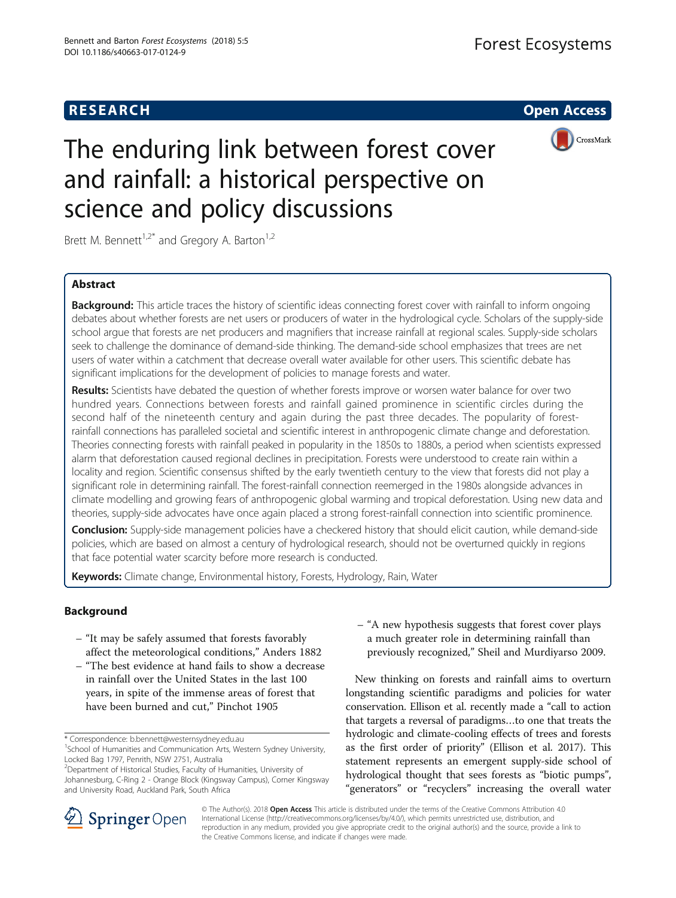# **RESEARCH CHILD CONTROL** CONTROL CONTROL CONTROL CONTROL CONTROL CONTROL CONTROL CONTROL CONTROL CONTROL CONTROL



# The enduring link between forest cover and rainfall: a historical perspective on science and policy discussions

Brett M. Bennett<sup>1,2\*</sup> and Gregory A. Barton<sup>1,2</sup>

# Abstract

**Background:** This article traces the history of scientific ideas connecting forest cover with rainfall to inform ongoing debates about whether forests are net users or producers of water in the hydrological cycle. Scholars of the supply-side school argue that forests are net producers and magnifiers that increase rainfall at regional scales. Supply-side scholars seek to challenge the dominance of demand-side thinking. The demand-side school emphasizes that trees are net users of water within a catchment that decrease overall water available for other users. This scientific debate has significant implications for the development of policies to manage forests and water.

Results: Scientists have debated the question of whether forests improve or worsen water balance for over two hundred years. Connections between forests and rainfall gained prominence in scientific circles during the second half of the nineteenth century and again during the past three decades. The popularity of forestrainfall connections has paralleled societal and scientific interest in anthropogenic climate change and deforestation. Theories connecting forests with rainfall peaked in popularity in the 1850s to 1880s, a period when scientists expressed alarm that deforestation caused regional declines in precipitation. Forests were understood to create rain within a locality and region. Scientific consensus shifted by the early twentieth century to the view that forests did not play a significant role in determining rainfall. The forest-rainfall connection reemerged in the 1980s alongside advances in climate modelling and growing fears of anthropogenic global warming and tropical deforestation. Using new data and theories, supply-side advocates have once again placed a strong forest-rainfall connection into scientific prominence.

**Conclusion:** Supply-side management policies have a checkered history that should elicit caution, while demand-side policies, which are based on almost a century of hydrological research, should not be overturned quickly in regions that face potential water scarcity before more research is conducted.

Keywords: Climate change, Environmental history, Forests, Hydrology, Rain, Water

# Background

- "It may be safely assumed that forests favorably affect the meteorological conditions," Anders [1882](#page-7-0)
- "The best evidence at hand fails to show a decrease in rainfall over the United States in the last 100 years, in spite of the immense areas of forest that have been burned and cut," Pinchot [1905](#page-8-0)

\* Correspondence: [b.bennett@westernsydney.edu.au](mailto:b.bennett@westernsydney.edu.au) <sup>1</sup>

– "A new hypothesis suggests that forest cover plays a much greater role in determining rainfall than previously recognized," Sheil and Murdiyarso [2009.](#page-8-0)

New thinking on forests and rainfall aims to overturn longstanding scientific paradigms and policies for water conservation. Ellison et al. recently made a "call to action that targets a reversal of paradigms…to one that treats the hydrologic and climate-cooling effects of trees and forests as the first order of priority" (Ellison et al. [2017\)](#page-7-0). This statement represents an emergent supply-side school of hydrological thought that sees forests as "biotic pumps", "generators" or "recyclers" increasing the overall water



© The Author(s). 2018 Open Access This article is distributed under the terms of the Creative Commons Attribution 4.0 International License ([http://creativecommons.org/licenses/by/4.0/\)](http://creativecommons.org/licenses/by/4.0/), which permits unrestricted use, distribution, and reproduction in any medium, provided you give appropriate credit to the original author(s) and the source, provide a link to the Creative Commons license, and indicate if changes were made.

<sup>&</sup>lt;sup>1</sup>School of Humanities and Communication Arts, Western Sydney University, Locked Bag 1797, Penrith, NSW 2751, Australia

<sup>&</sup>lt;sup>2</sup>Department of Historical Studies, Faculty of Humanities, University of Johannesburg, C-Ring 2 - Orange Block (Kingsway Campus), Corner Kingsway and University Road, Auckland Park, South Africa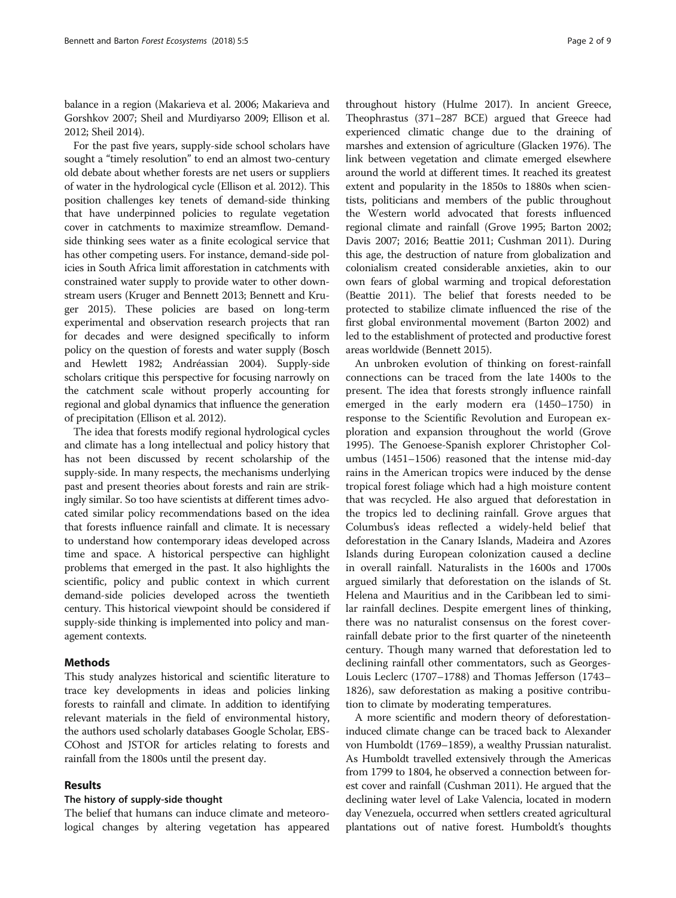balance in a region (Makarieva et al. [2006;](#page-8-0) Makarieva and Gorshkov [2007](#page-8-0); Sheil and Murdiyarso [2009;](#page-8-0) Ellison et al. [2012;](#page-7-0) Sheil [2014](#page-8-0)).

For the past five years, supply-side school scholars have sought a "timely resolution" to end an almost two-century old debate about whether forests are net users or suppliers of water in the hydrological cycle (Ellison et al. [2012\)](#page-7-0). This position challenges key tenets of demand-side thinking that have underpinned policies to regulate vegetation cover in catchments to maximize streamflow. Demandside thinking sees water as a finite ecological service that has other competing users. For instance, demand-side policies in South Africa limit afforestation in catchments with constrained water supply to provide water to other downstream users (Kruger and Bennett [2013;](#page-8-0) Bennett and Kruger [2015\)](#page-7-0). These policies are based on long-term experimental and observation research projects that ran for decades and were designed specifically to inform policy on the question of forests and water supply (Bosch and Hewlett [1982;](#page-7-0) Andréassian [2004\)](#page-7-0). Supply-side scholars critique this perspective for focusing narrowly on the catchment scale without properly accounting for regional and global dynamics that influence the generation of precipitation (Ellison et al. [2012\)](#page-7-0).

The idea that forests modify regional hydrological cycles and climate has a long intellectual and policy history that has not been discussed by recent scholarship of the supply-side. In many respects, the mechanisms underlying past and present theories about forests and rain are strikingly similar. So too have scientists at different times advocated similar policy recommendations based on the idea that forests influence rainfall and climate. It is necessary to understand how contemporary ideas developed across time and space. A historical perspective can highlight problems that emerged in the past. It also highlights the scientific, policy and public context in which current demand-side policies developed across the twentieth century. This historical viewpoint should be considered if supply-side thinking is implemented into policy and management contexts.

## Methods

This study analyzes historical and scientific literature to trace key developments in ideas and policies linking forests to rainfall and climate. In addition to identifying relevant materials in the field of environmental history, the authors used scholarly databases Google Scholar, EBS-COhost and JSTOR for articles relating to forests and rainfall from the 1800s until the present day.

## Results

# The history of supply-side thought

The belief that humans can induce climate and meteorological changes by altering vegetation has appeared

throughout history (Hulme [2017](#page-8-0)). In ancient Greece, Theophrastus (371–287 BCE) argued that Greece had experienced climatic change due to the draining of marshes and extension of agriculture (Glacken [1976](#page-7-0)). The link between vegetation and climate emerged elsewhere around the world at different times. It reached its greatest extent and popularity in the 1850s to 1880s when scientists, politicians and members of the public throughout the Western world advocated that forests influenced regional climate and rainfall (Grove [1995;](#page-8-0) Barton [2002](#page-7-0); Davis 2007; [2016;](#page-7-0) Beattie [2011;](#page-7-0) Cushman [2011\)](#page-7-0). During this age, the destruction of nature from globalization and colonialism created considerable anxieties, akin to our own fears of global warming and tropical deforestation (Beattie [2011](#page-7-0)). The belief that forests needed to be protected to stabilize climate influenced the rise of the first global environmental movement (Barton [2002](#page-7-0)) and led to the establishment of protected and productive forest areas worldwide (Bennett [2015](#page-7-0)).

An unbroken evolution of thinking on forest-rainfall connections can be traced from the late 1400s to the present. The idea that forests strongly influence rainfall emerged in the early modern era (1450–1750) in response to the Scientific Revolution and European exploration and expansion throughout the world (Grove [1995](#page-8-0)). The Genoese-Spanish explorer Christopher Columbus (1451–1506) reasoned that the intense mid-day rains in the American tropics were induced by the dense tropical forest foliage which had a high moisture content that was recycled. He also argued that deforestation in the tropics led to declining rainfall. Grove argues that Columbus's ideas reflected a widely-held belief that deforestation in the Canary Islands, Madeira and Azores Islands during European colonization caused a decline in overall rainfall. Naturalists in the 1600s and 1700s argued similarly that deforestation on the islands of St. Helena and Mauritius and in the Caribbean led to similar rainfall declines. Despite emergent lines of thinking, there was no naturalist consensus on the forest coverrainfall debate prior to the first quarter of the nineteenth century. Though many warned that deforestation led to declining rainfall other commentators, such as Georges-Louis Leclerc (1707–1788) and Thomas Jefferson (1743– 1826), saw deforestation as making a positive contribution to climate by moderating temperatures.

A more scientific and modern theory of deforestationinduced climate change can be traced back to Alexander von Humboldt (1769–1859), a wealthy Prussian naturalist. As Humboldt travelled extensively through the Americas from 1799 to 1804, he observed a connection between forest cover and rainfall (Cushman [2011\)](#page-7-0). He argued that the declining water level of Lake Valencia, located in modern day Venezuela, occurred when settlers created agricultural plantations out of native forest. Humboldt's thoughts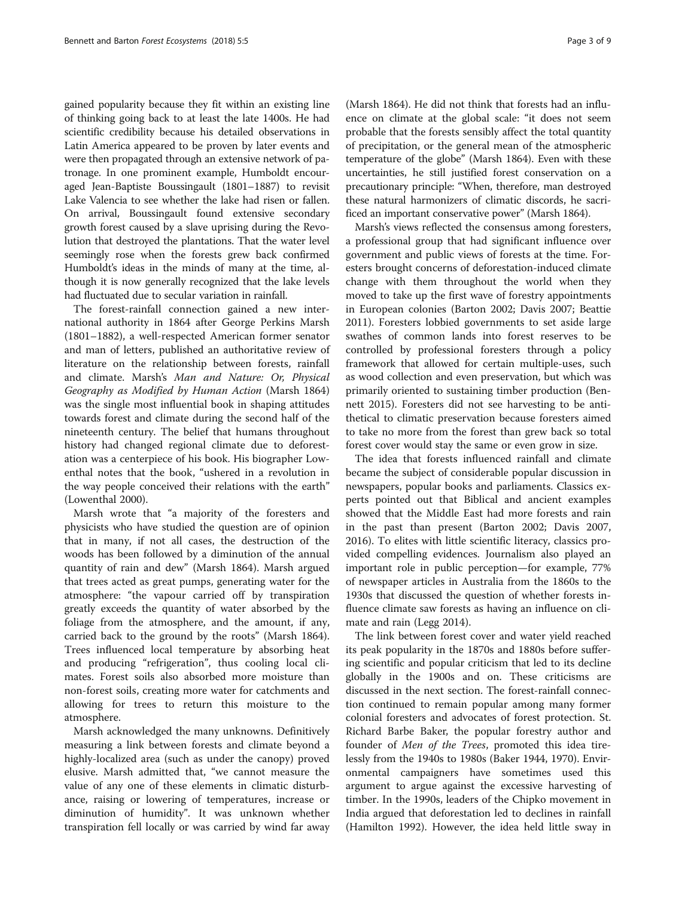gained popularity because they fit within an existing line of thinking going back to at least the late 1400s. He had scientific credibility because his detailed observations in Latin America appeared to be proven by later events and were then propagated through an extensive network of patronage. In one prominent example, Humboldt encouraged Jean-Baptiste Boussingault (1801–1887) to revisit Lake Valencia to see whether the lake had risen or fallen. On arrival, Boussingault found extensive secondary growth forest caused by a slave uprising during the Revolution that destroyed the plantations. That the water level seemingly rose when the forests grew back confirmed Humboldt's ideas in the minds of many at the time, although it is now generally recognized that the lake levels had fluctuated due to secular variation in rainfall.

The forest-rainfall connection gained a new international authority in 1864 after George Perkins Marsh (1801–1882), a well-respected American former senator and man of letters, published an authoritative review of literature on the relationship between forests, rainfall and climate. Marsh's Man and Nature: Or, Physical Geography as Modified by Human Action (Marsh [1864](#page-8-0)) was the single most influential book in shaping attitudes towards forest and climate during the second half of the nineteenth century. The belief that humans throughout history had changed regional climate due to deforestation was a centerpiece of his book. His biographer Lowenthal notes that the book, "ushered in a revolution in the way people conceived their relations with the earth" (Lowenthal [2000](#page-8-0)).

Marsh wrote that "a majority of the foresters and physicists who have studied the question are of opinion that in many, if not all cases, the destruction of the woods has been followed by a diminution of the annual quantity of rain and dew" (Marsh [1864](#page-8-0)). Marsh argued that trees acted as great pumps, generating water for the atmosphere: "the vapour carried off by transpiration greatly exceeds the quantity of water absorbed by the foliage from the atmosphere, and the amount, if any, carried back to the ground by the roots" (Marsh [1864](#page-8-0)). Trees influenced local temperature by absorbing heat and producing "refrigeration", thus cooling local climates. Forest soils also absorbed more moisture than non-forest soils, creating more water for catchments and allowing for trees to return this moisture to the atmosphere.

Marsh acknowledged the many unknowns. Definitively measuring a link between forests and climate beyond a highly-localized area (such as under the canopy) proved elusive. Marsh admitted that, "we cannot measure the value of any one of these elements in climatic disturbance, raising or lowering of temperatures, increase or diminution of humidity". It was unknown whether transpiration fell locally or was carried by wind far away (Marsh [1864\)](#page-8-0). He did not think that forests had an influence on climate at the global scale: "it does not seem probable that the forests sensibly affect the total quantity of precipitation, or the general mean of the atmospheric temperature of the globe" (Marsh [1864](#page-8-0)). Even with these uncertainties, he still justified forest conservation on a precautionary principle: "When, therefore, man destroyed these natural harmonizers of climatic discords, he sacrificed an important conservative power" (Marsh [1864](#page-8-0)).

Marsh's views reflected the consensus among foresters, a professional group that had significant influence over government and public views of forests at the time. Foresters brought concerns of deforestation-induced climate change with them throughout the world when they moved to take up the first wave of forestry appointments in European colonies (Barton [2002](#page-7-0); Davis [2007](#page-7-0); Beattie [2011](#page-7-0)). Foresters lobbied governments to set aside large swathes of common lands into forest reserves to be controlled by professional foresters through a policy framework that allowed for certain multiple-uses, such as wood collection and even preservation, but which was primarily oriented to sustaining timber production (Bennett [2015\)](#page-7-0). Foresters did not see harvesting to be antithetical to climatic preservation because foresters aimed to take no more from the forest than grew back so total forest cover would stay the same or even grow in size.

The idea that forests influenced rainfall and climate became the subject of considerable popular discussion in newspapers, popular books and parliaments. Classics experts pointed out that Biblical and ancient examples showed that the Middle East had more forests and rain in the past than present (Barton [2002;](#page-7-0) Davis [2007](#page-7-0), [2016](#page-7-0)). To elites with little scientific literacy, classics provided compelling evidences. Journalism also played an important role in public perception—for example, 77% of newspaper articles in Australia from the 1860s to the 1930s that discussed the question of whether forests influence climate saw forests as having an influence on climate and rain (Legg [2014\)](#page-8-0).

The link between forest cover and water yield reached its peak popularity in the 1870s and 1880s before suffering scientific and popular criticism that led to its decline globally in the 1900s and on. These criticisms are discussed in the next section. The forest-rainfall connection continued to remain popular among many former colonial foresters and advocates of forest protection. St. Richard Barbe Baker, the popular forestry author and founder of Men of the Trees, promoted this idea tirelessly from the 1940s to 1980s (Baker [1944, 1970](#page-7-0)). Environmental campaigners have sometimes used this argument to argue against the excessive harvesting of timber. In the 1990s, leaders of the Chipko movement in India argued that deforestation led to declines in rainfall (Hamilton [1992\)](#page-8-0). However, the idea held little sway in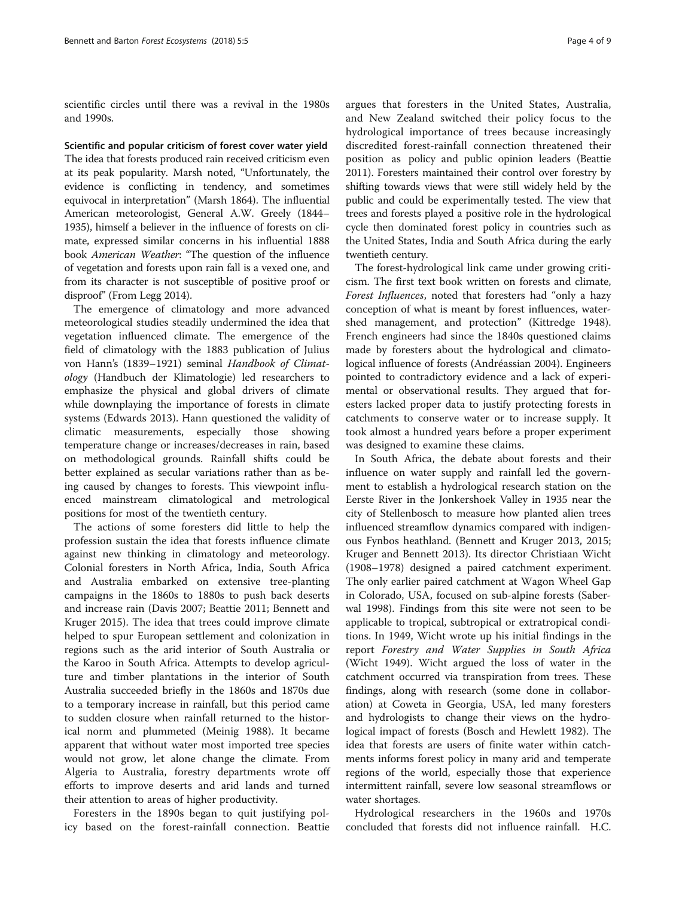scientific circles until there was a revival in the 1980s and 1990s.

Scientific and popular criticism of forest cover water yield The idea that forests produced rain received criticism even at its peak popularity. Marsh noted, "Unfortunately, the evidence is conflicting in tendency, and sometimes equivocal in interpretation" (Marsh [1864](#page-8-0)). The influential American meteorologist, General A.W. Greely (1844– 1935), himself a believer in the influence of forests on climate, expressed similar concerns in his influential 1888 book American Weather: "The question of the influence of vegetation and forests upon rain fall is a vexed one, and from its character is not susceptible of positive proof or disproof" (From Legg [2014](#page-8-0)).

The emergence of climatology and more advanced meteorological studies steadily undermined the idea that vegetation influenced climate. The emergence of the field of climatology with the 1883 publication of Julius von Hann's (1839–1921) seminal Handbook of Climatology (Handbuch der Klimatologie) led researchers to emphasize the physical and global drivers of climate while downplaying the importance of forests in climate systems (Edwards [2013\)](#page-7-0). Hann questioned the validity of climatic measurements, especially those showing temperature change or increases/decreases in rain, based on methodological grounds. Rainfall shifts could be better explained as secular variations rather than as being caused by changes to forests. This viewpoint influenced mainstream climatological and metrological positions for most of the twentieth century.

The actions of some foresters did little to help the profession sustain the idea that forests influence climate against new thinking in climatology and meteorology. Colonial foresters in North Africa, India, South Africa and Australia embarked on extensive tree-planting campaigns in the 1860s to 1880s to push back deserts and increase rain (Davis [2007;](#page-7-0) Beattie [2011](#page-7-0); Bennett and Kruger [2015\)](#page-7-0). The idea that trees could improve climate helped to spur European settlement and colonization in regions such as the arid interior of South Australia or the Karoo in South Africa. Attempts to develop agriculture and timber plantations in the interior of South Australia succeeded briefly in the 1860s and 1870s due to a temporary increase in rainfall, but this period came to sudden closure when rainfall returned to the historical norm and plummeted (Meinig [1988](#page-8-0)). It became apparent that without water most imported tree species would not grow, let alone change the climate. From Algeria to Australia, forestry departments wrote off efforts to improve deserts and arid lands and turned their attention to areas of higher productivity.

Foresters in the 1890s began to quit justifying policy based on the forest-rainfall connection. Beattie

argues that foresters in the United States, Australia, and New Zealand switched their policy focus to the hydrological importance of trees because increasingly discredited forest-rainfall connection threatened their position as policy and public opinion leaders (Beattie [2011](#page-7-0)). Foresters maintained their control over forestry by shifting towards views that were still widely held by the public and could be experimentally tested. The view that trees and forests played a positive role in the hydrological cycle then dominated forest policy in countries such as the United States, India and South Africa during the early twentieth century.

The forest-hydrological link came under growing criticism. The first text book written on forests and climate, Forest Influences, noted that foresters had "only a hazy conception of what is meant by forest influences, watershed management, and protection" (Kittredge [1948](#page-8-0)). French engineers had since the 1840s questioned claims made by foresters about the hydrological and climatological influence of forests (Andréassian [2004\)](#page-7-0). Engineers pointed to contradictory evidence and a lack of experimental or observational results. They argued that foresters lacked proper data to justify protecting forests in catchments to conserve water or to increase supply. It took almost a hundred years before a proper experiment was designed to examine these claims.

In South Africa, the debate about forests and their influence on water supply and rainfall led the government to establish a hydrological research station on the Eerste River in the Jonkershoek Valley in 1935 near the city of Stellenbosch to measure how planted alien trees influenced streamflow dynamics compared with indigenous Fynbos heathland. (Bennett and Kruger [2013, 2015](#page-7-0); Kruger and Bennett [2013\)](#page-8-0). Its director Christiaan Wicht (1908–1978) designed a paired catchment experiment. The only earlier paired catchment at Wagon Wheel Gap in Colorado, USA, focused on sub-alpine forests (Saberwal [1998](#page-8-0)). Findings from this site were not seen to be applicable to tropical, subtropical or extratropical conditions. In 1949, Wicht wrote up his initial findings in the report Forestry and Water Supplies in South Africa (Wicht [1949](#page-8-0)). Wicht argued the loss of water in the catchment occurred via transpiration from trees. These findings, along with research (some done in collaboration) at Coweta in Georgia, USA, led many foresters and hydrologists to change their views on the hydrological impact of forests (Bosch and Hewlett [1982](#page-7-0)). The idea that forests are users of finite water within catchments informs forest policy in many arid and temperate regions of the world, especially those that experience intermittent rainfall, severe low seasonal streamflows or water shortages.

Hydrological researchers in the 1960s and 1970s concluded that forests did not influence rainfall. H.C.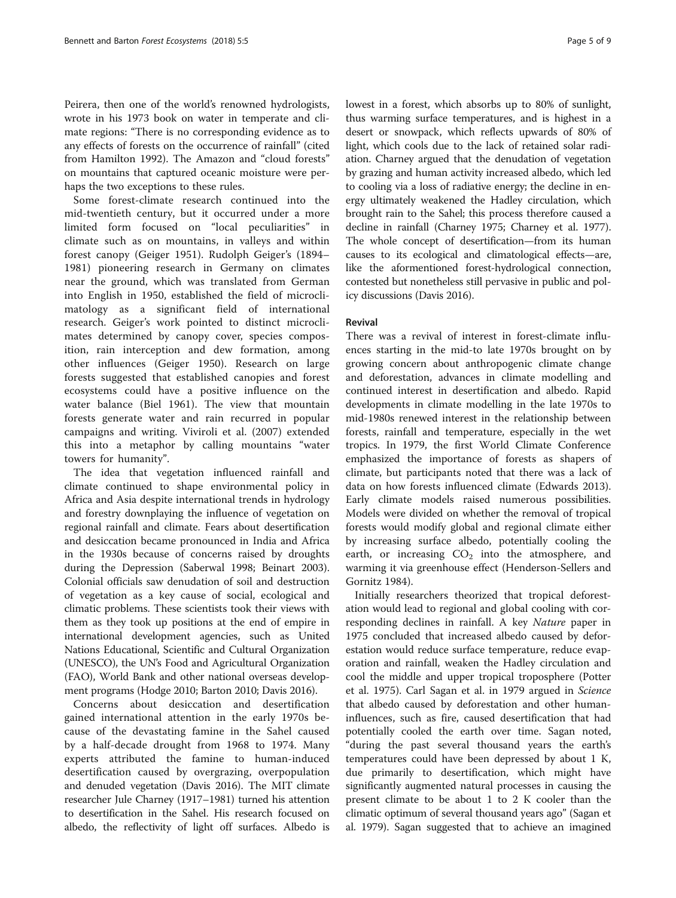Peirera, then one of the world's renowned hydrologists, wrote in his 1973 book on water in temperate and climate regions: "There is no corresponding evidence as to any effects of forests on the occurrence of rainfall" (cited from Hamilton [1992](#page-8-0)). The Amazon and "cloud forests" on mountains that captured oceanic moisture were perhaps the two exceptions to these rules.

Some forest-climate research continued into the mid-twentieth century, but it occurred under a more limited form focused on "local peculiarities" in climate such as on mountains, in valleys and within forest canopy (Geiger [1951\)](#page-7-0). Rudolph Geiger's (1894– 1981) pioneering research in Germany on climates near the ground, which was translated from German into English in 1950, established the field of microclimatology as a significant field of international research. Geiger's work pointed to distinct microclimates determined by canopy cover, species composition, rain interception and dew formation, among other influences (Geiger [1950](#page-7-0)). Research on large forests suggested that established canopies and forest ecosystems could have a positive influence on the water balance (Biel [1961](#page-7-0)). The view that mountain forests generate water and rain recurred in popular campaigns and writing. Viviroli et al. [\(2007](#page-8-0)) extended this into a metaphor by calling mountains "water towers for humanity".

The idea that vegetation influenced rainfall and climate continued to shape environmental policy in Africa and Asia despite international trends in hydrology and forestry downplaying the influence of vegetation on regional rainfall and climate. Fears about desertification and desiccation became pronounced in India and Africa in the 1930s because of concerns raised by droughts during the Depression (Saberwal [1998](#page-8-0); Beinart [2003](#page-7-0)). Colonial officials saw denudation of soil and destruction of vegetation as a key cause of social, ecological and climatic problems. These scientists took their views with them as they took up positions at the end of empire in international development agencies, such as United Nations Educational, Scientific and Cultural Organization (UNESCO), the UN's Food and Agricultural Organization (FAO), World Bank and other national overseas development programs (Hodge [2010](#page-8-0); Barton [2010](#page-7-0); Davis [2016\)](#page-7-0).

Concerns about desiccation and desertification gained international attention in the early 1970s because of the devastating famine in the Sahel caused by a half-decade drought from 1968 to 1974. Many experts attributed the famine to human-induced desertification caused by overgrazing, overpopulation and denuded vegetation (Davis [2016](#page-7-0)). The MIT climate researcher Jule Charney (1917–1981) turned his attention to desertification in the Sahel. His research focused on albedo, the reflectivity of light off surfaces. Albedo is lowest in a forest, which absorbs up to 80% of sunlight, thus warming surface temperatures, and is highest in a desert or snowpack, which reflects upwards of 80% of light, which cools due to the lack of retained solar radiation. Charney argued that the denudation of vegetation by grazing and human activity increased albedo, which led to cooling via a loss of radiative energy; the decline in energy ultimately weakened the Hadley circulation, which brought rain to the Sahel; this process therefore caused a decline in rainfall (Charney [1975](#page-7-0); Charney et al. [1977](#page-7-0)). The whole concept of desertification—from its human causes to its ecological and climatological effects—are, like the aformentioned forest-hydrological connection, contested but nonetheless still pervasive in public and policy discussions (Davis [2016\)](#page-7-0).

## Revival

There was a revival of interest in forest-climate influences starting in the mid-to late 1970s brought on by growing concern about anthropogenic climate change and deforestation, advances in climate modelling and continued interest in desertification and albedo. Rapid developments in climate modelling in the late 1970s to mid-1980s renewed interest in the relationship between forests, rainfall and temperature, especially in the wet tropics. In 1979, the first World Climate Conference emphasized the importance of forests as shapers of climate, but participants noted that there was a lack of data on how forests influenced climate (Edwards [2013](#page-7-0)). Early climate models raised numerous possibilities. Models were divided on whether the removal of tropical forests would modify global and regional climate either by increasing surface albedo, potentially cooling the earth, or increasing  $CO<sub>2</sub>$  into the atmosphere, and warming it via greenhouse effect (Henderson-Sellers and Gornitz [1984\)](#page-8-0).

Initially researchers theorized that tropical deforestation would lead to regional and global cooling with corresponding declines in rainfall. A key Nature paper in 1975 concluded that increased albedo caused by deforestation would reduce surface temperature, reduce evaporation and rainfall, weaken the Hadley circulation and cool the middle and upper tropical troposphere (Potter et al. [1975\)](#page-8-0). Carl Sagan et al. in 1979 argued in Science that albedo caused by deforestation and other humaninfluences, such as fire, caused desertification that had potentially cooled the earth over time. Sagan noted, "during the past several thousand years the earth's temperatures could have been depressed by about 1 K, due primarily to desertification, which might have significantly augmented natural processes in causing the present climate to be about 1 to 2 K cooler than the climatic optimum of several thousand years ago" (Sagan et al. [1979\)](#page-8-0). Sagan suggested that to achieve an imagined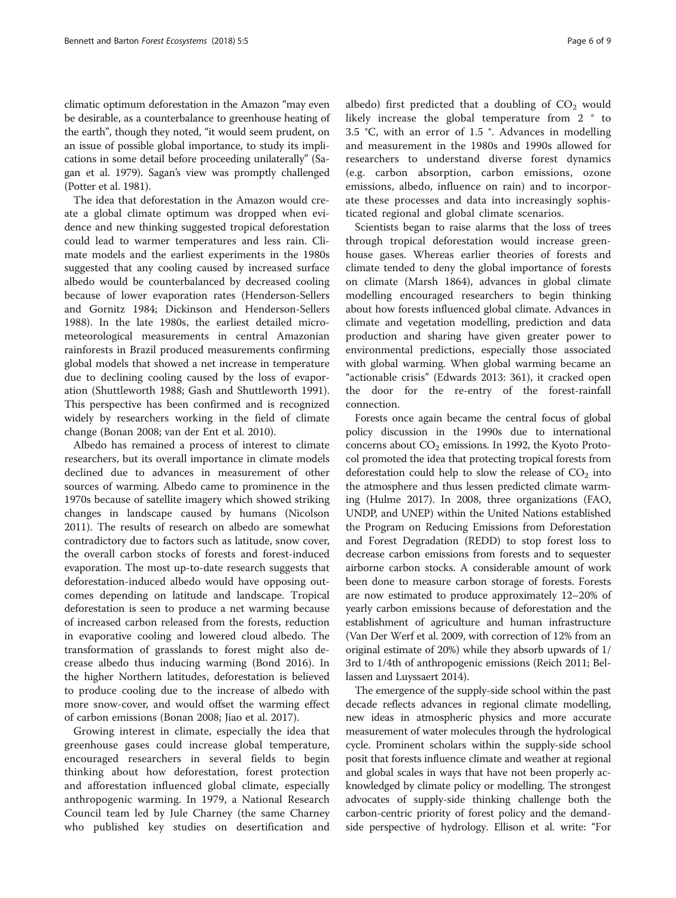climatic optimum deforestation in the Amazon "may even be desirable, as a counterbalance to greenhouse heating of the earth", though they noted, "it would seem prudent, on an issue of possible global importance, to study its implications in some detail before proceeding unilaterally" (Sagan et al. [1979\)](#page-8-0). Sagan's view was promptly challenged (Potter et al. [1981\)](#page-8-0).

The idea that deforestation in the Amazon would create a global climate optimum was dropped when evidence and new thinking suggested tropical deforestation could lead to warmer temperatures and less rain. Climate models and the earliest experiments in the 1980s suggested that any cooling caused by increased surface albedo would be counterbalanced by decreased cooling because of lower evaporation rates (Henderson-Sellers and Gornitz [1984;](#page-8-0) Dickinson and Henderson-Sellers [1988](#page-7-0)). In the late 1980s, the earliest detailed micrometeorological measurements in central Amazonian rainforests in Brazil produced measurements confirming global models that showed a net increase in temperature due to declining cooling caused by the loss of evaporation (Shuttleworth [1988](#page-8-0); Gash and Shuttleworth [1991](#page-7-0)). This perspective has been confirmed and is recognized widely by researchers working in the field of climate change (Bonan [2008](#page-7-0); van der Ent et al. [2010\)](#page-8-0).

Albedo has remained a process of interest to climate researchers, but its overall importance in climate models declined due to advances in measurement of other sources of warming. Albedo came to prominence in the 1970s because of satellite imagery which showed striking changes in landscape caused by humans (Nicolson [2011](#page-8-0)). The results of research on albedo are somewhat contradictory due to factors such as latitude, snow cover, the overall carbon stocks of forests and forest-induced evaporation. The most up-to-date research suggests that deforestation-induced albedo would have opposing outcomes depending on latitude and landscape. Tropical deforestation is seen to produce a net warming because of increased carbon released from the forests, reduction in evaporative cooling and lowered cloud albedo. The transformation of grasslands to forest might also decrease albedo thus inducing warming (Bond [2016\)](#page-7-0). In the higher Northern latitudes, deforestation is believed to produce cooling due to the increase of albedo with more snow-cover, and would offset the warming effect of carbon emissions (Bonan [2008](#page-7-0); Jiao et al. [2017](#page-8-0)).

Growing interest in climate, especially the idea that greenhouse gases could increase global temperature, encouraged researchers in several fields to begin thinking about how deforestation, forest protection and afforestation influenced global climate, especially anthropogenic warming. In 1979, a National Research Council team led by Jule Charney (the same Charney who published key studies on desertification and

albedo) first predicted that a doubling of  $CO<sub>2</sub>$  would likely increase the global temperature from 2 ° to 3.5 °C, with an error of 1.5 °. Advances in modelling and measurement in the 1980s and 1990s allowed for researchers to understand diverse forest dynamics (e.g. carbon absorption, carbon emissions, ozone emissions, albedo, influence on rain) and to incorporate these processes and data into increasingly sophisticated regional and global climate scenarios.

Scientists began to raise alarms that the loss of trees through tropical deforestation would increase greenhouse gases. Whereas earlier theories of forests and climate tended to deny the global importance of forests on climate (Marsh [1864](#page-8-0)), advances in global climate modelling encouraged researchers to begin thinking about how forests influenced global climate. Advances in climate and vegetation modelling, prediction and data production and sharing have given greater power to environmental predictions, especially those associated with global warming. When global warming became an "actionable crisis" (Edwards [2013](#page-7-0): 361), it cracked open the door for the re-entry of the forest-rainfall connection.

Forests once again became the central focus of global policy discussion in the 1990s due to international concerns about  $CO<sub>2</sub>$  emissions. In 1992, the Kyoto Protocol promoted the idea that protecting tropical forests from deforestation could help to slow the release of  $CO<sub>2</sub>$  into the atmosphere and thus lessen predicted climate warming (Hulme [2017\)](#page-8-0). In 2008, three organizations (FAO, UNDP, and UNEP) within the United Nations established the Program on Reducing Emissions from Deforestation and Forest Degradation (REDD) to stop forest loss to decrease carbon emissions from forests and to sequester airborne carbon stocks. A considerable amount of work been done to measure carbon storage of forests. Forests are now estimated to produce approximately 12–20% of yearly carbon emissions because of deforestation and the establishment of agriculture and human infrastructure (Van Der Werf et al. [2009](#page-8-0), with correction of 12% from an original estimate of 20%) while they absorb upwards of 1/ 3rd to 1/4th of anthropogenic emissions (Reich [2011](#page-8-0); Bellassen and Luyssaert [2014](#page-7-0)).

The emergence of the supply-side school within the past decade reflects advances in regional climate modelling, new ideas in atmospheric physics and more accurate measurement of water molecules through the hydrological cycle. Prominent scholars within the supply-side school posit that forests influence climate and weather at regional and global scales in ways that have not been properly acknowledged by climate policy or modelling. The strongest advocates of supply-side thinking challenge both the carbon-centric priority of forest policy and the demandside perspective of hydrology. Ellison et al. write: "For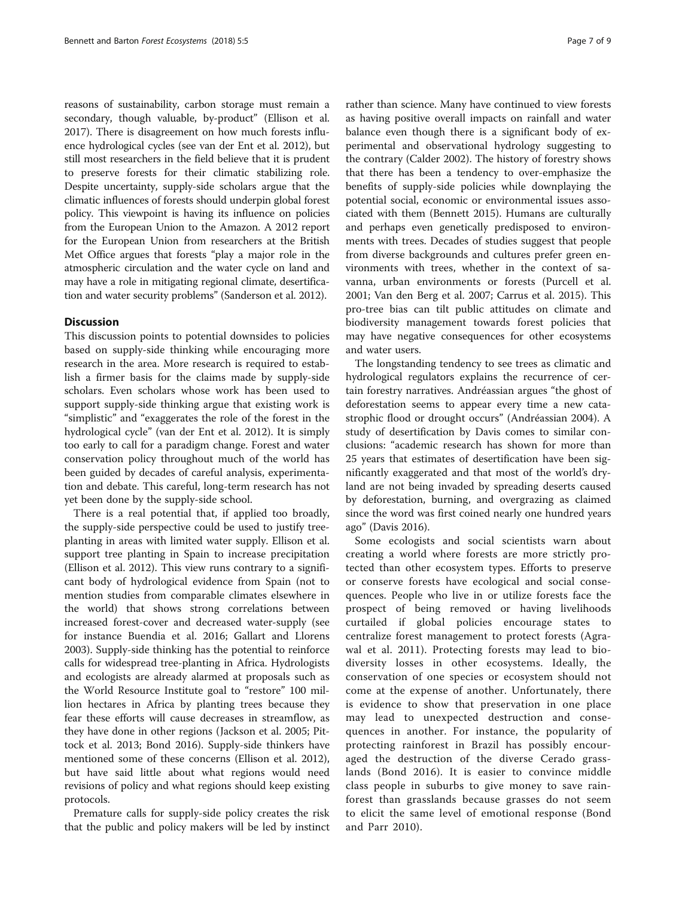reasons of sustainability, carbon storage must remain a secondary, though valuable, by-product" (Ellison et al. [2017\)](#page-7-0). There is disagreement on how much forests influence hydrological cycles (see van der Ent et al. [2012\)](#page-8-0), but still most researchers in the field believe that it is prudent to preserve forests for their climatic stabilizing role. Despite uncertainty, supply-side scholars argue that the climatic influences of forests should underpin global forest policy. This viewpoint is having its influence on policies from the European Union to the Amazon. A 2012 report for the European Union from researchers at the British Met Office argues that forests "play a major role in the atmospheric circulation and the water cycle on land and may have a role in mitigating regional climate, desertification and water security problems" (Sanderson et al. [2012\)](#page-8-0).

## **Discussion**

This discussion points to potential downsides to policies based on supply-side thinking while encouraging more research in the area. More research is required to establish a firmer basis for the claims made by supply-side scholars. Even scholars whose work has been used to support supply-side thinking argue that existing work is "simplistic" and "exaggerates the role of the forest in the hydrological cycle" (van der Ent et al. [2012\)](#page-8-0). It is simply too early to call for a paradigm change. Forest and water conservation policy throughout much of the world has been guided by decades of careful analysis, experimentation and debate. This careful, long-term research has not yet been done by the supply-side school.

There is a real potential that, if applied too broadly, the supply-side perspective could be used to justify treeplanting in areas with limited water supply. Ellison et al. support tree planting in Spain to increase precipitation (Ellison et al. [2012](#page-7-0)). This view runs contrary to a significant body of hydrological evidence from Spain (not to mention studies from comparable climates elsewhere in the world) that shows strong correlations between increased forest-cover and decreased water-supply (see for instance Buendia et al. [2016;](#page-7-0) Gallart and Llorens [2003](#page-7-0)). Supply-side thinking has the potential to reinforce calls for widespread tree-planting in Africa. Hydrologists and ecologists are already alarmed at proposals such as the World Resource Institute goal to "restore" 100 million hectares in Africa by planting trees because they fear these efforts will cause decreases in streamflow, as they have done in other regions (Jackson et al. [2005;](#page-8-0) Pittock et al. [2013;](#page-8-0) Bond [2016](#page-7-0)). Supply-side thinkers have mentioned some of these concerns (Ellison et al. [2012](#page-7-0)), but have said little about what regions would need revisions of policy and what regions should keep existing protocols.

Premature calls for supply-side policy creates the risk that the public and policy makers will be led by instinct

rather than science. Many have continued to view forests as having positive overall impacts on rainfall and water balance even though there is a significant body of experimental and observational hydrology suggesting to the contrary (Calder [2002\)](#page-7-0). The history of forestry shows that there has been a tendency to over-emphasize the benefits of supply-side policies while downplaying the potential social, economic or environmental issues associated with them (Bennett [2015\)](#page-7-0). Humans are culturally and perhaps even genetically predisposed to environments with trees. Decades of studies suggest that people from diverse backgrounds and cultures prefer green environments with trees, whether in the context of savanna, urban environments or forests (Purcell et al. [2001](#page-8-0); Van den Berg et al. [2007](#page-8-0); Carrus et al. [2015\)](#page-7-0). This pro-tree bias can tilt public attitudes on climate and biodiversity management towards forest policies that may have negative consequences for other ecosystems and water users.

The longstanding tendency to see trees as climatic and hydrological regulators explains the recurrence of certain forestry narratives. Andréassian argues "the ghost of deforestation seems to appear every time a new catastrophic flood or drought occurs" (Andréassian [2004](#page-7-0)). A study of desertification by Davis comes to similar conclusions: "academic research has shown for more than 25 years that estimates of desertification have been significantly exaggerated and that most of the world's dryland are not being invaded by spreading deserts caused by deforestation, burning, and overgrazing as claimed since the word was first coined nearly one hundred years ago" (Davis [2016](#page-7-0)).

Some ecologists and social scientists warn about creating a world where forests are more strictly protected than other ecosystem types. Efforts to preserve or conserve forests have ecological and social consequences. People who live in or utilize forests face the prospect of being removed or having livelihoods curtailed if global policies encourage states to centralize forest management to protect forests (Agrawal et al. [2011\)](#page-7-0). Protecting forests may lead to biodiversity losses in other ecosystems. Ideally, the conservation of one species or ecosystem should not come at the expense of another. Unfortunately, there is evidence to show that preservation in one place may lead to unexpected destruction and consequences in another. For instance, the popularity of protecting rainforest in Brazil has possibly encouraged the destruction of the diverse Cerado grasslands (Bond [2016\)](#page-7-0). It is easier to convince middle class people in suburbs to give money to save rainforest than grasslands because grasses do not seem to elicit the same level of emotional response (Bond and Parr [2010\)](#page-7-0).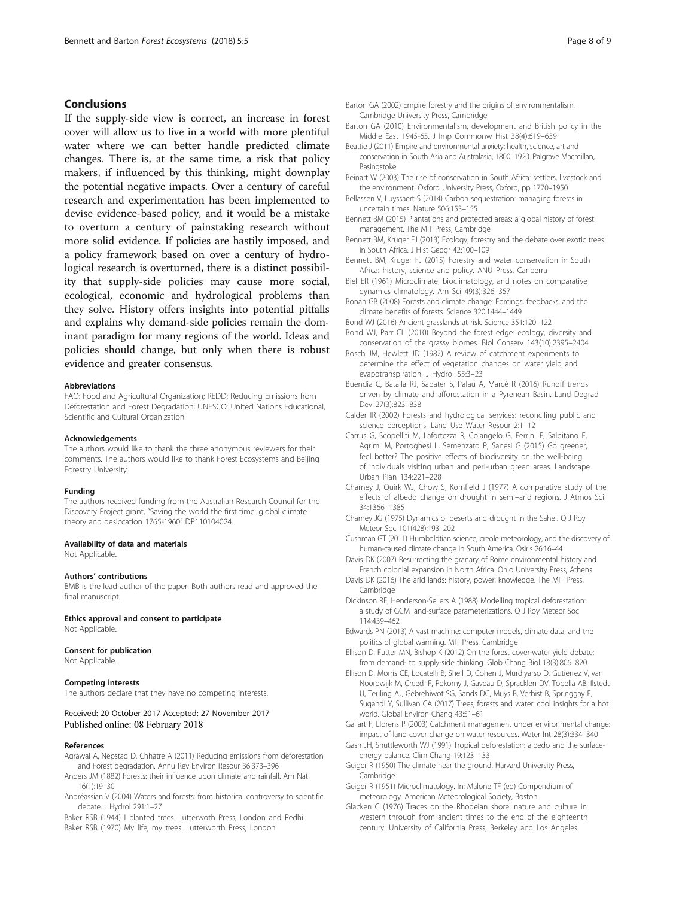# <span id="page-7-0"></span>Conclusions

If the supply-side view is correct, an increase in forest cover will allow us to live in a world with more plentiful water where we can better handle predicted climate changes. There is, at the same time, a risk that policy makers, if influenced by this thinking, might downplay the potential negative impacts. Over a century of careful research and experimentation has been implemented to devise evidence-based policy, and it would be a mistake to overturn a century of painstaking research without more solid evidence. If policies are hastily imposed, and a policy framework based on over a century of hydrological research is overturned, there is a distinct possibility that supply-side policies may cause more social, ecological, economic and hydrological problems than they solve. History offers insights into potential pitfalls and explains why demand-side policies remain the dominant paradigm for many regions of the world. Ideas and policies should change, but only when there is robust evidence and greater consensus.

#### Abbreviations

FAO: Food and Agricultural Organization; REDD: Reducing Emissions from Deforestation and Forest Degradation; UNESCO: United Nations Educational, Scientific and Cultural Organization

#### Acknowledgements

The authors would like to thank the three anonymous reviewers for their comments. The authors would like to thank Forest Ecosystems and Beijing Forestry University.

#### Funding

The authors received funding from the Australian Research Council for the Discovery Project grant, "Saving the world the first time: global climate theory and desiccation 1765-1960" DP110104024.

### Availability of data and materials

Not Applicable.

#### Authors' contributions

BMB is the lead author of the paper. Both authors read and approved the final manuscript.

Ethics approval and consent to participate Not Applicable.

#### Consent for publication

Not Applicable.

#### Competing interests

The authors declare that they have no competing interests.

#### Received: 20 October 2017 Accepted: 27 November 2017 Published online: 08 February 2018

#### References

Agrawal A, Nepstad D, Chhatre A (2011) Reducing emissions from deforestation and Forest degradation. Annu Rev Environ Resour 36:373–396

- Anders JM (1882) Forests: their influence upon climate and rainfall. Am Nat 16(1):19–30
- Andréassian V (2004) Waters and forests: from historical controversy to scientific debate. J Hydrol 291:1–27
- Baker RSB (1944) I planted trees. Lutterwoth Press, London and Redhill Baker RSB (1970) My life, my trees. Lutterworth Press, London
- Barton GA (2002) Empire forestry and the origins of environmentalism. Cambridge University Press, Cambridge
- Barton GA (2010) Environmentalism, development and British policy in the Middle East 1945-65. J Imp Commonw Hist 38(4):619–639
- Beattie J (2011) Empire and environmental anxiety: health, science, art and conservation in South Asia and Australasia, 1800–1920. Palgrave Macmillan, Basingstoke
- Beinart W (2003) The rise of conservation in South Africa: settlers, livestock and the environment. Oxford University Press, Oxford, pp 1770–1950
- Bellassen V, Luyssaert S (2014) Carbon sequestration: managing forests in uncertain times. Nature 506:153–155
- Bennett BM (2015) Plantations and protected areas: a global history of forest management. The MIT Press, Cambridge
- Bennett BM, Kruger FJ (2013) Ecology, forestry and the debate over exotic trees in South Africa. J Hist Geogr 42:100–109
- Bennett BM, Kruger FJ (2015) Forestry and water conservation in South Africa: history, science and policy. ANU Press, Canberra
- Biel ER (1961) Microclimate, bioclimatology, and notes on comparative dynamics climatology. Am Sci 49(3):326–357
- Bonan GB (2008) Forests and climate change: Forcings, feedbacks, and the climate benefits of forests. Science 320:1444–1449
- Bond WJ (2016) Ancient grasslands at risk. Science 351:120–122

Bond WJ, Parr CL (2010) Beyond the forest edge: ecology, diversity and conservation of the grassy biomes. Biol Conserv 143(10):2395–2404

- Bosch JM, Hewlett JD (1982) A review of catchment experiments to determine the effect of vegetation changes on water yield and evapotranspiration. J Hydrol 55:3–23
- Buendia C, Batalla RJ, Sabater S, Palau A, Marcé R (2016) Runoff trends driven by climate and afforestation in a Pyrenean Basin. Land Degrad Dev 27(3):823–838
- Calder IR (2002) Forests and hydrological services: reconciling public and science perceptions. Land Use Water Resour 2:1–12
- Carrus G, Scopelliti M, Lafortezza R, Colangelo G, Ferrini F, Salbitano F, Agrimi M, Portoghesi L, Semenzato P, Sanesi G (2015) Go greener, feel better? The positive effects of biodiversity on the well-being of individuals visiting urban and peri-urban green areas. Landscape Urban Plan 134:221–228
- Charney J, Quirk WJ, Chow S, Kornfield J (1977) A comparative study of the effects of albedo change on drought in semi–arid regions. J Atmos Sci 34:1366–1385
- Charney JG (1975) Dynamics of deserts and drought in the Sahel. Q J Roy Meteor Soc 101(428):193–202
- Cushman GT (2011) Humboldtian science, creole meteorology, and the discovery of human-caused climate change in South America. Osiris 26:16–44
- Davis DK (2007) Resurrecting the granary of Rome environmental history and French colonial expansion in North Africa. Ohio University Press, Athens Davis DK (2016) The arid lands: history, power, knowledge. The MIT Press,
- Cambridge Dickinson RE, Henderson-Sellers A (1988) Modelling tropical deforestation:
- a study of GCM land-surface parameterizations. Q J Roy Meteor Soc 114:439–462
- Edwards PN (2013) A vast machine: computer models, climate data, and the politics of global warming. MIT Press, Cambridge
- Ellison D, Futter MN, Bishop K (2012) On the forest cover-water yield debate: from demand- to supply-side thinking. Glob Chang Biol 18(3):806–820
- Ellison D, Morris CE, Locatelli B, Sheil D, Cohen J, Murdiyarso D, Gutierrez V, van Noordwijk M, Creed IF, Pokorny J, Gaveau D, Spracklen DV, Tobella AB, Ilstedt U, Teuling AJ, Gebrehiwot SG, Sands DC, Muys B, Verbist B, Springgay E, Sugandi Y, Sullivan CA (2017) Trees, forests and water: cool insights for a hot world. Global Environ Chang 43:51–61
- Gallart F, Llorens P (2003) Catchment management under environmental change: impact of land cover change on water resources. Water Int 28(3):334–340
- Gash JH, Shuttleworth WJ (1991) Tropical deforestation: albedo and the surfaceenergy balance. Clim Chang 19:123–133
- Geiger R (1950) The climate near the ground. Harvard University Press, Cambridge
- Geiger R (1951) Microclimatology. In: Malone TF (ed) Compendium of meteorology. American Meteorological Society, Boston
- Glacken C (1976) Traces on the Rhodeian shore: nature and culture in western through from ancient times to the end of the eighteenth century. University of California Press, Berkeley and Los Angeles